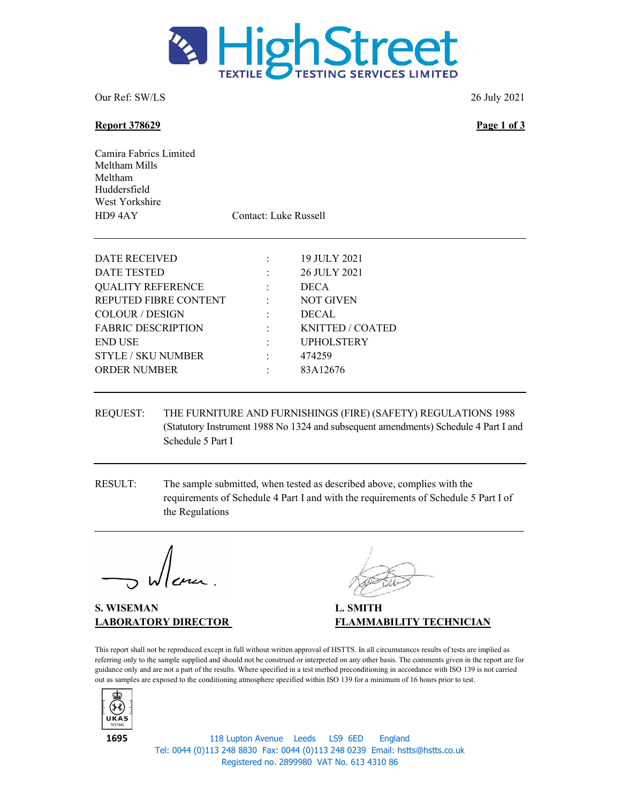

Our Ref: SW/LS 26 July 2021

## Report 378629 Page 1 of 3

Camira Fabrics Limited Meltham Mills Meltham Huddersfield West Yorkshire HD9 4AY Contact: Luke Russell

| DATE RECEIVED             | 19 JULY 2021      |
|---------------------------|-------------------|
| DATE TESTED               | 26 JULY 2021      |
| <b>QUALITY REFERENCE</b>  | <b>DECA</b>       |
| REPUTED FIBRE CONTENT     | <b>NOT GIVEN</b>  |
| <b>COLOUR / DESIGN</b>    | <b>DECAL</b>      |
| <b>FABRIC DESCRIPTION</b> | KNITTED / COATED  |
| <b>END USE</b>            | <b>UPHOLSTERY</b> |
| <b>STYLE / SKU NUMBER</b> | 474259            |
| <b>ORDER NUMBER</b>       | 83A12676          |
|                           |                   |

- REQUEST: THE FURNITURE AND FURNISHINGS (FIRE) (SAFETY) REGULATIONS 1988 (Statutory Instrument 1988 No 1324 and subsequent amendments) Schedule 4 Part I and Schedule 5 Part I
- RESULT: The sample submitted, when tested as described above, complies with the requirements of Schedule 4 Part I and with the requirements of Schedule 5 Part I of the Regulations

S. WISEMAN L. SMITH

LABORATORY DIRECTOR FLAMMABILITY TECHNICIAN

This report shall not be reproduced except in full without written approval of HSTTS. In all circumstances results of tests are implied as referring only to the sample supplied and should not be construed or interpreted on any other basis. The comments given in the report are for guidance only and are not a part of the results. Where specified in a test method preconditioning in accordance with ISO 139 is not carried out as samples are exposed to the conditioning atmosphere specified within ISO 139 for a minimum of 16 hours prior to test.



118 Lupton Avenue Leeds LS9 6ED England Tel: 0044 (0)113 248 8830 Fax: 0044 (0)113 248 0239 Email: hstts@hstts.co.uk Registered no. 2899980 VAT No. 613 4310 86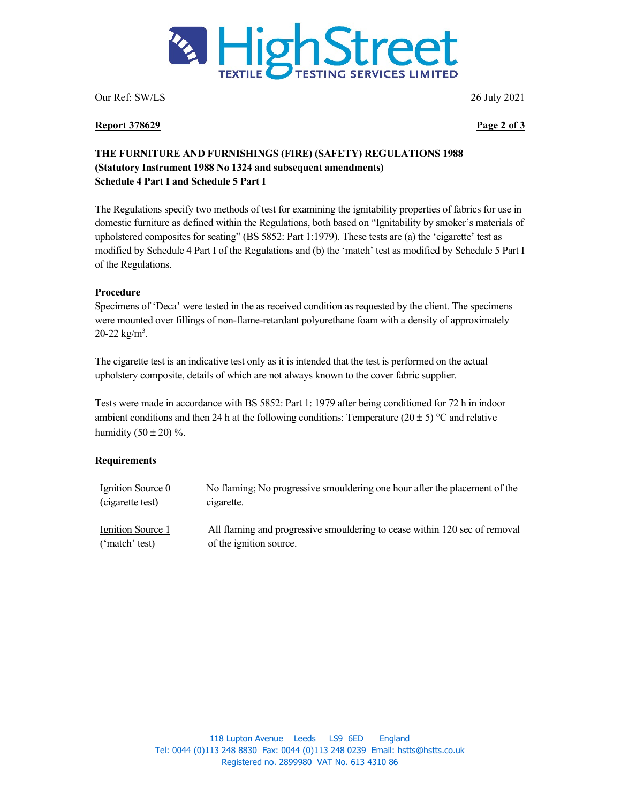

Our Ref: SW/LS 26 July 2021

#### Report 378629 Page 2 of 3

# THE FURNITURE AND FURNISHINGS (FIRE) (SAFETY) REGULATIONS 1988 (Statutory Instrument 1988 No 1324 and subsequent amendments) Schedule 4 Part I and Schedule 5 Part I

The Regulations specify two methods of test for examining the ignitability properties of fabrics for use in domestic furniture as defined within the Regulations, both based on "Ignitability by smoker's materials of upholstered composites for seating" (BS 5852: Part 1:1979). These tests are (a) the 'cigarette' test as modified by Schedule 4 Part I of the Regulations and (b) the 'match' test as modified by Schedule 5 Part I of the Regulations.

## Procedure

Specimens of 'Deca' were tested in the as received condition as requested by the client. The specimens were mounted over fillings of non-flame-retardant polyurethane foam with a density of approximately 20-22  $\text{kg/m}^3$ .

The cigarette test is an indicative test only as it is intended that the test is performed on the actual upholstery composite, details of which are not always known to the cover fabric supplier.

Tests were made in accordance with BS 5852: Part 1: 1979 after being conditioned for 72 h in indoor ambient conditions and then 24 h at the following conditions: Temperature (20  $\pm$  5) °C and relative humidity  $(50 \pm 20)$ %.

# **Requirements**

| Ignition Source 0 | No flaming; No progressive smouldering one hour after the placement of the |
|-------------------|----------------------------------------------------------------------------|
| (cigarette test)  | cigarette.                                                                 |
| Ignition Source 1 | All flaming and progressive smouldering to cease within 120 sec of removal |
| ('match' test)    | of the ignition source.                                                    |